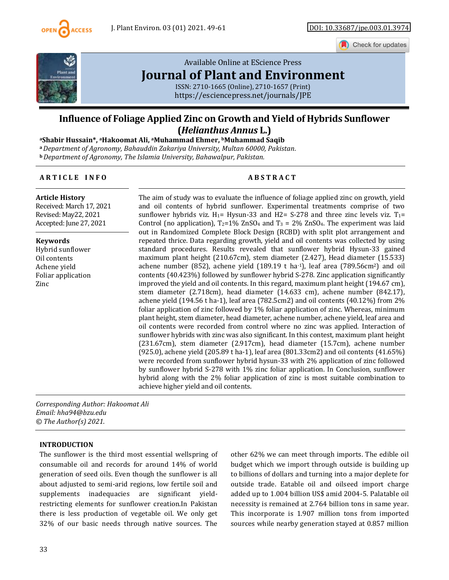

Check for updates



## [Available Online at EScience Press](https://esciencepress.net/journals/JPE)  **[Journal of Plant and Environment](https://esciencepress.net/journals/JPE)**

ISSN: 2710-1665 (Online), 2710-1657 (Print) <https://esciencepress.net/journals/JPE>

# **Influence of Foliage Applied Zinc on Growth and Yield of Hybrids Sunflower**

**(***Helianthus Annus* **L.) aShabir Hussain\*, aHakoomat Ali, aMuhammad Ehmer, bMuhammad Saqib a** *Department of Agronomy, Bahauddin Zakariya University, Multan 60000, Pakistan.*  **<sup>b</sup>***Department of Agronomy, The Islamia University, Bahawalpur, Pakistan.* 

**ARTICLE INFO** ABSTRACT

**Article History** 

Received: March 17, 2021 Revised: May22, 2021 Accepted: June 27, 2021

**Keywords** 

Hybrid sunflower Oil contents Achene yield Foliar application Zinc

The aim of study was to evaluate the influence of foliage applied zinc on growth, yield and oil contents of hybrid sunflower. Experimental treatments comprise of two sunflower hybrids viz.  $H_1$ = Hysun-33 and H2= S-278 and three zinc levels viz.  $T_1$ = Control (no application),  $T_2=1\%$  ZnSO<sub>4</sub> and  $T_3 = 2\%$  ZnSO<sub>4</sub>. The experiment was laid out in Randomized Complete Block Design (RCBD) with split plot arrangement and repeated thrice. Data regarding growth, yield and oil contents was collected by using standard procedures. Results revealed that sunflower hybrid Hysun-33 gained maximum plant height (210.67cm), stem diameter (2.427), Head diameter (15.533) achene number (852), achene yield (189.19 t ha-1), leaf area (789.56cm2) and oil contents (40.423%) followed by sunflower hybrid S-278. Zinc application significantly improved the yield and oil contents. In this regard, maximum plant height (194.67 cm), stem diameter (2.718cm), head diameter (14.633 cm), achene number (842.17), achene yield (194.56 t ha-1), leaf area (782.5cm2) and oil contents (40.12%) from 2% foliar application of zinc followed by 1% foliar application of zinc. Whereas, minimum plant height, stem diameter, head diameter, achene number, achene yield, leaf area and oil contents were recorded from control where no zinc was applied. Interaction of sunflower hybrids with zinc was also significant. In this contest, maximum plant height (231.67cm), stem diameter (2.917cm), head diameter (15.7cm), achene number (925.0), achene yield (205.89 t ha-1), leaf area (801.33cm2) and oil contents (41.65%) were recorded from sunflower hybrid hysun-33 with 2% application of zinc followed by sunflower hybrid S-278 with 1% zinc foliar application. In Conclusion, sunflower hybrid along with the 2% foliar application of zinc is most suitable combination to achieve higher yield and oil contents.

*Corresponding Author: Hakoomat Ali Email: hha94@bzu.edu © The Author(s) 2021.* 

#### **INTRODUCTION**

The sunflower is the third most essential wellspring of consumable oil and records for around 14% of world generation of seed oils. Even though the sunflower is all about adjusted to semi-arid regions, low fertile soil and supplements inadequacies are significant yieldrestricting elements for sunflower creation.In Pakistan there is less production of vegetable oil. We only get 32% of our basic needs through native sources. The

other 62% we can meet through imports. The edible oil budget which we import through outside is building up to billions of dollars and turning into a major deplete for outside trade. Eatable oil and oilseed import charge added up to 1.004 billion US\$ amid 2004-5. Palatable oil necessity is remained at 2.764 billion tons in same year. This incorporate is 1.907 million tons from imported sources while nearby generation stayed at 0.857 million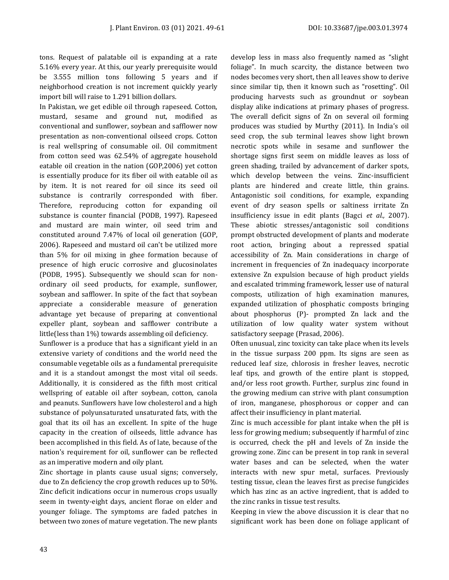tons. Request of palatable oil is expanding at a rate 5.16% every year. At this, our yearly prerequisite would be 3.555 million tons following 5 years and if neighborhood creation is not increment quickly yearly import bill will raise to 1.291 billion dollars.

In Pakistan, we get edible oil through rapeseed. Cotton, mustard, sesame and ground nut, modified as conventional and sunflower, soybean and safflower now presentation as non-conventional oilseed crops. Cotton is real wellspring of consumable oil. Oil commitment from cotton seed was 62.54% of aggregate household eatable oil creation in the nation (GOP,2006) yet cotton is essentially produce for its fiber oil with eatable oil as by item. It is not reared for oil since its seed oil substance is contrarily corresponded with fiber. Therefore, reproducing cotton for expanding oil substance is counter financial (PODB, 1997). Rapeseed and mustard are main winter, oil seed trim and constituted around 7.47% of local oil generation (GOP, 2006). Rapeseed and mustard oil can't be utilized more than 5% for oil mixing in ghee formation because of presence of high erucic corrosive and glucosinolates (PODB, 1995). Subsequently we should scan for nonordinary oil seed products, for example, sunflower, soybean and safflower. In spite of the fact that soybean appreciate a considerable measure of generation advantage yet because of preparing at conventional expeller plant, soybean and safflower contribute a little(less than 1%) towards assembling oil deficiency.

Sunflower is a produce that has a significant yield in an extensive variety of conditions and the world need the consumable vegetable oils as a fundamental prerequisite and it is a standout amongst the most vital oil seeds. Additionally, it is considered as the fifth most critical wellspring of eatable oil after soybean, cotton, canola and peanuts. Sunflowers have low cholesterol and a high substance of polyunsaturated unsaturated fats, with the goal that its oil has an excellent. In spite of the huge capacity in the creation of oilseeds, little advance has been accomplished in this field. As of late, because of the nation's requirement for oil, sunflower can be reflected as an imperative modern and oily plant.

Zinc shortage in plants cause usual signs; conversely, due to Zn deficiency the crop growth reduces up to 50%. Zinc deficit indications occur in numerous crops usually seem in twenty-eight days, ancient florae on elder and younger foliage. The symptoms are faded patches in between two zones of mature vegetation. The new plants develop less in mass also frequently named as "slight foliage". In much scarcity, the distance between two nodes becomes very short, then all leaves show to derive since similar tip, then it known such as "rosetting". Oil producing harvests such as groundnut or soybean display alike indications at primary phases of progress. The overall deficit signs of Zn on several oil forming produces was studied by Murthy (2011). In India's oil seed crop, the sub terminal leaves show light brown necrotic spots while in sesame and sunflower the shortage signs first seem on middle leaves as loss of green shading, trailed by advancement of darker spots, which develop between the veins. Zinc-insufficient plants are hindered and create little, thin grains. Antagonistic soil conditions, for example, expanding event of dry season spells or saltiness irritate Zn insufficiency issue in edit plants (Bagci *et al.,* 2007). These abiotic stresses/antagonistic soil conditions prompt obstructed development of plants and moderate root action, bringing about a repressed spatial accessibility of Zn. Main considerations in charge of increment in frequencies of Zn inadequacy incorporate extensive Zn expulsion because of high product yields and escalated trimming framework, lesser use of natural composts, utilization of high examination manures, expanded utilization of phosphatic composts bringing about phosphorus (P)- prompted Zn lack and the utilization of low quality water system without satisfactory seepage (Prasad, 2006).

Often unusual, zinc toxicity can take place when its levels in the tissue surpass 200 ppm. Its signs are seen as reduced leaf size, chlorosis in fresher leaves, necrotic leaf tips, and growth of the entire plant is stopped, and/or less root growth. Further, surplus zinc found in the growing medium can strive with plant consumption of iron, manganese, phosphorous or copper and can affect their insufficiency in plant material.

Zinc is much accessible for plant intake when the pH is less for growing medium; subsequently if harmful of zinc is occurred, check the pH and levels of Zn inside the growing zone. Zinc can be present in top rank in several water bases and can be selected, when the water interacts with new spur metal, surfaces. Previously testing tissue, clean the leaves first as precise fungicides which has zinc as an active ingredient, that is added to the zinc ranks in tissue test results.

Keeping in view the above discussion it is clear that no significant work has been done on foliage applicant of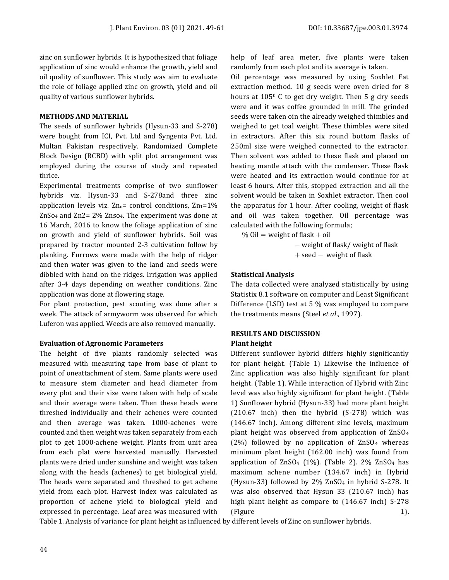zinc on sunflower hybrids. It is hypothesized that foliage application of zinc would enhance the growth, yield and oil quality of sunflower. This study was aim to evaluate the role of foliage applied zinc on growth, yield and oil quality of various sunflower hybrids.

#### **METHODS AND MATERIAL**

The seeds of sunflower hybrids (Hysun-33 and S-278) were bought from ICI, Pvt. Ltd and Syngenta Pvt. Ltd. Multan Pakistan respectively. Randomized Complete Block Design (RCBD) with split plot arrangement was employed during the course of study and repeated thrice.

Experimental treatments comprise of two sunflower hybrids viz. Hysun-33 and S-278and three zinc application levels viz.  $Zn_0$ = control conditions,  $Zn_1=1\%$  $\text{ZnSo}_4$  and  $\text{Zn2}= 2\%$  Znso<sub>4</sub>. The experiment was done at 16 March, 2016 to know the foliage application of zinc on growth and yield of sunflower hybrids. Soil was prepared by tractor mounted 2-3 cultivation follow by planking. Furrows were made with the help of ridger and then water was given to the land and seeds were dibbled with hand on the ridges. Irrigation was applied after 3-4 days depending on weather conditions. Zinc application was done at flowering stage.

For plant protection, pest scouting was done after a week. The attack of armyworm was observed for which Luferon was applied. Weeds are also removed manually.

#### **Evaluation of Agronomic Parameters**

The height of five plants randomly selected was measured with measuring tape from base of plant to point of oneattachment of stem. Same plants were used to measure stem diameter and head diameter from every plot and their size were taken with help of scale and their average were taken. Then these heads were threshed individually and their achenes were counted and then average was taken. 1000-achenes were counted and then weight was taken separately from each plot to get 1000-achene weight. Plants from unit area from each plat were harvested manually. Harvested plants were dried under sunshine and weight was taken along with the heads (achenes) to get biological yield. The heads were separated and threshed to get achene yield from each plot. Harvest index was calculated as proportion of achene yield to biological yield and expressed in percentage. Leaf area was measured with

help of leaf area meter, five plants were taken randomly from each plot and its average is taken.

Oil percentage was measured by using Soxhlet Fat extraction method. 10 g seeds were oven dried for 8 hours at 105<sup>0</sup> C to get dry weight. Then 5 g dry seeds were and it was coffee grounded in mill. The grinded seeds were taken oin the already weighed thimbles and weighed to get toal weight. These thimbles were sited in extractors. After this six round bottom flasks of 250ml size were weighed connected to the extractor. Then solvent was added to these flask and placed on heating mantle attach with the condenser. These flask were heated and its extraction would continue for at least 6 hours. After this, stopped extraction and all the solvent would be taken in Soxhlet extractor. Then cool the apparatus for 1 hour. After cooling, weight of flask and oil was taken together. Oil percentage was calculated with the following formula;

% Oil = weight of flask + oil

− weight of flask/ weight of flask + seed − weight of flask

#### **Statistical Analysis**

The data collected were analyzed statistically by using Statistix 8.1 software on computer and Least Significant Difference (LSD) test at 5 % was employed to compare the treatments means (Steel *et al*., 1997).

#### **RESULTS AND DISCUSSION**

#### **Plant height**

Different sunflower hybrid differs highly significantly for plant height. (Table 1) Likewise the influence of Zinc application was also highly significant for plant height. (Table 1). While interaction of Hybrid with Zinc level was also highly significant for plant height. (Table 1) Sunflower hybrid (Hysun-33) had more plant height (210.67 inch) then the hybrid (S-278) which was (146.67 inch). Among different zinc levels, maximum plant height was observed from application of ZnSO4 (2%) followed by no application of  $\text{ZnSO}_4$  whereas minimum plant height (162.00 inch) was found from application of  $ZnSO_4$  (1%). (Table 2). 2%  $ZnSO_4$  has maximum achene number (134.67 inch) in Hybrid (Hysun-33) followed by 2% ZnSO4 in hybrid S-278. It was also observed that Hysun 33 (210.67 inch) has high plant height as compare to (146.67 inch) S-278 (Figure 1).

Table 1. Analysis of variance for plant height as influenced by different levels of Zinc on sunflower hybrids.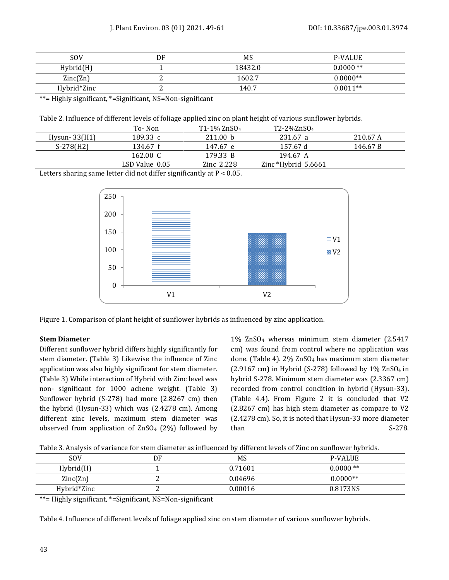| <b>SOV</b>  | DF | MS      | <b>P-VALUE</b> |
|-------------|----|---------|----------------|
| Hybrid(H)   |    | 18432.0 | $0.0000**$     |
| Zinc(Zn)    |    | 1602.7  | $0.0000**$     |
| Hybrid*Zinc |    | 140.7   | $0.0011**$     |

\*\*= Highly significant, \*=Significant, NS=Non-significant

|                 | To-Non             | $T1-1\%$ ZnSO <sub>4</sub> | T2-2%ZnSO <sub>4</sub> |          |
|-----------------|--------------------|----------------------------|------------------------|----------|
| Hysun- $33(H1)$ | 189.33 c           | 211.00 h                   | 231.67 a               | 210.67 A |
| $S-278(H2)$     | 134.67 f           | 147.67 e                   | 157.67 d               | 146.67 B |
|                 | 162.00 $\degree$ C | 179.33 B                   | 194.67 A               |          |
|                 | LSD Value 0.05     | Zinc 2.228                 | Zinc *Hybrid $5.6661$  |          |
|                 |                    |                            |                        |          |

Letters sharing same letter did not differ significantly at P < 0.05.



Figure 1. Comparison of plant height of sunflower hybrids as influenced by zinc application.

#### **Stem Diameter**

Different sunflower hybrid differs highly significantly for stem diameter. (Table 3) Likewise the influence of Zinc application was also highly significant for stem diameter. (Table 3) While interaction of Hybrid with Zinc level was non- significant for 1000 achene weight. (Table 3) Sunflower hybrid (S-278) had more (2.8267 cm) then the hybrid (Hysun-33) which was (2.4278 cm). Among different zinc levels, maximum stem diameter was observed from application of ZnSO4 (2%) followed by 1% ZnSO4 whereas minimum stem diameter (2.5417 cm) was found from control where no application was done. (Table 4). 2% ZnSO4 has maximum stem diameter (2.9167 cm) in Hybrid (S-278) followed by  $1\%$  ZnSO<sub>4</sub> in hybrid S-278. Minimum stem diameter was (2.3367 cm) recorded from control condition in hybrid (Hysun-33). (Table 4.4). From Figure 2 it is concluded that V2 (2.8267 cm) has high stem diameter as compare to V2 (2.4278 cm). So, it is noted that Hysun-33 more diameter than S-278.

Table 3. Analysis of variance for stem diameter as influenced by different levels of Zinc on sunflower hybrids.

| <b>SOV</b>  | DF | MS      | <b>P-VALUE</b> |
|-------------|----|---------|----------------|
| Hybrid(H)   |    | 0.71601 | $0.0000**$     |
| Zinc(Zn)    |    | 0.04696 | $0.0000**$     |
| Hybrid*Zinc | ⊷  | 0.00016 | 0.8173NS       |

\*\*= Highly significant, \*=Significant, NS=Non-significant

Table 4. Influence of different levels of foliage applied zinc on stem diameter of various sunflower hybrids.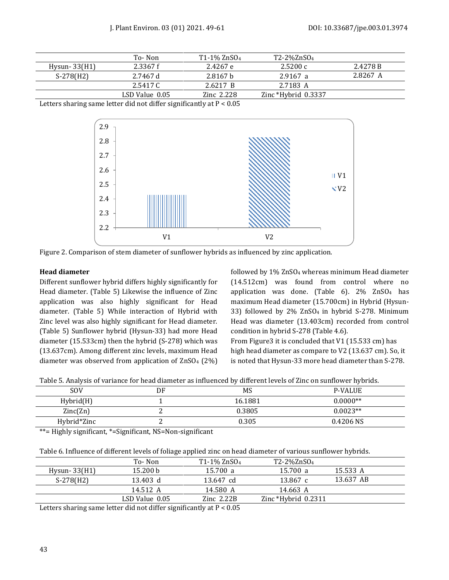|                | To-Non         | $T1-1\%$ ZnSO <sub>4</sub> | T2-2%ZnSO <sub>4</sub> |          |
|----------------|----------------|----------------------------|------------------------|----------|
| $Hysun-33(H1)$ | 2.3367f        | 2.4267 e                   | 2.5200c                | 2.4278 B |
| $S-278(H2)$    | 2.7467 d       | 2.8167 h                   | 2.9167 a               | 2.8267 A |
|                | 2.5417 C       | 2.6217 B                   | 2.7183 A               |          |
|                | LSD Value 0.05 | Zinc 2.228                 | Zinc *Hybrid $0.3337$  |          |

Letters sharing same letter did not differ significantly at P < 0.05





#### **Head diameter**

Different sunflower hybrid differs highly significantly for Head diameter. (Table 5) Likewise the influence of Zinc application was also highly significant for Head diameter. (Table 5) While interaction of Hybrid with Zinc level was also highly significant for Head diameter. (Table 5) Sunflower hybrid (Hysun-33) had more Head diameter (15.533cm) then the hybrid (S-278) which was (13.637cm). Among different zinc levels, maximum Head diameter was observed from application of  $ZnSO<sub>4</sub>$  (2%) followed by 1% ZnSO4 whereas minimum Head diameter (14.512cm) was found from control where no application was done. (Table 6). 2% ZnSO4 has maximum Head diameter (15.700cm) in Hybrid (Hysun-33) followed by 2% ZnSO4 in hybrid S-278. Minimum Head was diameter (13.403cm) recorded from control condition in hybrid S-278 (Table 4.6). From Figure3 it is concluded that V1 (15.533 cm) has

high head diameter as compare to V2 (13.637 cm). So, it is noted that Hysun-33 more head diameter than S-278.

| Table 5. Analysis of variance for head diameter as influenced by different levels of Zinc on sunflower hybrids. |  |  |
|-----------------------------------------------------------------------------------------------------------------|--|--|
|                                                                                                                 |  |  |

| <b>SOV</b>  | DF | MS      | <b>P-VALUE</b> |
|-------------|----|---------|----------------|
| Hybrid(H)   |    | 16.1881 | $0.0000**$     |
| Zinc(Zn)    |    | 0.3805  | $0.0023**$     |
| Hybrid*Zinc |    | 0.305   | 0.4206 NS      |

\*\*= Highly significant, \*=Significant, NS=Non-significant

|  | Table 6. Influence of different levels of foliage applied zinc on head diameter of various sunflower hybrids. |
|--|---------------------------------------------------------------------------------------------------------------|
|  |                                                                                                               |

|                 | To-Non                                                                                                                                                                                                                                                                                                      | T1-1% ZnSO <sub>4</sub> | T2-2%ZnSO <sub>4</sub> |           |  |
|-----------------|-------------------------------------------------------------------------------------------------------------------------------------------------------------------------------------------------------------------------------------------------------------------------------------------------------------|-------------------------|------------------------|-----------|--|
| Hysun- $33(H1)$ | 15.200 b                                                                                                                                                                                                                                                                                                    | 15.700 a                | 15.700 a               | 15.533 A  |  |
| $S-278(H2)$     | 13.403 d                                                                                                                                                                                                                                                                                                    | 13.647 cd               | 13.867 c               | 13.637 AB |  |
|                 | 14.512 A                                                                                                                                                                                                                                                                                                    | 14.580 A                | 14.663 A               |           |  |
|                 | LSD Value 0.05                                                                                                                                                                                                                                                                                              | $\rm Zinc$ 2.22B        | Zinc *Hybrid $0.2311$  |           |  |
|                 | $\mathbf{r}$ , $\mathbf{r}$ , $\mathbf{r}$ , $\mathbf{r}$ , $\mathbf{r}$ , $\mathbf{r}$ , $\mathbf{r}$ , $\mathbf{r}$ , $\mathbf{r}$ , $\mathbf{r}$ , $\mathbf{r}$ , $\mathbf{r}$ , $\mathbf{r}$ , $\mathbf{r}$ , $\mathbf{r}$ , $\mathbf{r}$ , $\mathbf{r}$ , $\mathbf{r}$ , $\mathbf{r}$ , $\mathbf{r}$ , | .                       |                        |           |  |

Letters sharing same letter did not differ significantly at P < 0.05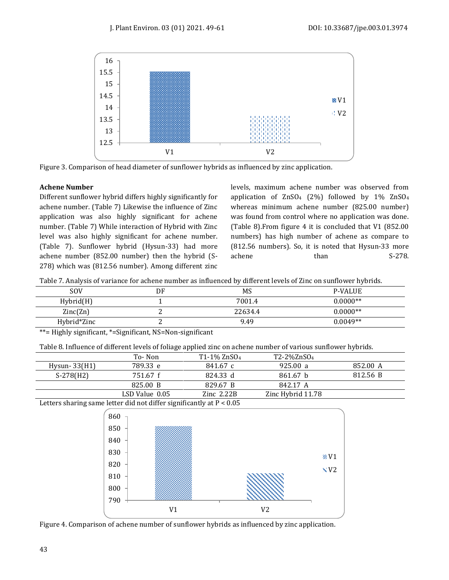



#### **Achene Number**

Different sunflower hybrid differs highly significantly for achene number. (Table 7) Likewise the influence of Zinc application was also highly significant for achene number. (Table 7) While interaction of Hybrid with Zinc level was also highly significant for achene number. (Table 7). Sunflower hybrid (Hysun-33) had more achene number (852.00 number) then the hybrid (S-278) which was (812.56 number). Among different zinc levels, maximum achene number was observed from application of ZnSO4 (2%) followed by 1% ZnSO4 whereas minimum achene number (825.00 number) was found from control where no application was done. (Table 8).From figure 4 it is concluded that V1 (852.00 numbers) has high number of achene as compare to (812.56 numbers). So, it is noted that Hysun-33 more achene than S-278.

| Table 7. Analysis of variance for achene number as influenced by different levels of Zinc on sunflower hybrids. |  |  |  |
|-----------------------------------------------------------------------------------------------------------------|--|--|--|
|                                                                                                                 |  |  |  |

| SOV         | DF | MS      | <b>P-VALUE</b> |
|-------------|----|---------|----------------|
| Hybrid(H)   |    | 7001.4  | $0.0000**$     |
| Zinc(Zn)    |    | 22634.4 | $0.0000**$     |
| Hybrid*Zinc |    | 9.49    | $0.0049**$     |

\*\*= Highly significant, \*=Significant, NS=Non-significant

Table 8. Influence of different levels of foliage applied zinc on achene number of various sunflower hybrids.

|                | To- Non        | $T1-1\%$ ZnSO <sub>4</sub> | T2-2%ZnSO <sub>4</sub> |          |
|----------------|----------------|----------------------------|------------------------|----------|
| $Hvsun-33(H1)$ | 789.33 e       | 841.67 с                   | 925.00 a               | 852.00 A |
| $S-278(H2)$    | 751.67 f       | 824.33 d                   | 861.67 b               | 812.56 B |
|                | 825.00 B       | 829.67 B                   | 842.17 A               |          |
|                | LSD Value 0.05 | $\rm Zinc$ 2.22B           | Zinc Hybrid 11.78      |          |
|                |                |                            |                        |          |

Letters sharing same letter did not differ significantly at P < 0.05



Figure 4. Comparison of achene number of sunflower hybrids as influenced by zinc application.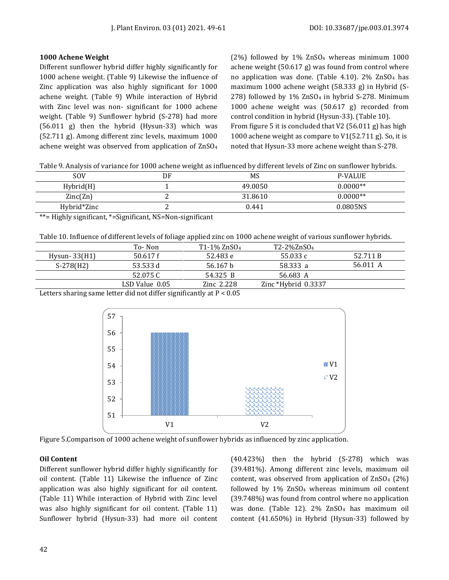#### **1000 Achene Weight**

Different sunflower hybrid differ highly significantly for 1000 achene weight. (Table 9) Likewise the influence of Zinc application was also highly significant for 1000 achene weight. (Table 9) While interaction of Hybrid with Zinc level was non- significant for 1000 achene weight. (Table 9) Sunflower hybrid (S-278) had more (56.011 g) then the hybrid (Hysun-33) which was (52.711 g). Among different zinc levels, maximum 1000 achene weight was observed from application of ZnSO4 (2%) followed by 1% ZnSO4 whereas minimum 1000 achene weight (50.617 g) was found from control where no application was done. (Table 4.10).  $2\%$  ZnSO<sub>4</sub> has maximum 1000 achene weight (58.333 g) in Hybrid (S-278) followed by 1% ZnSO4 in hybrid S-278. Minimum 1000 achene weight was (50.617 g) recorded from control condition in hybrid (Hysun-33). (Table 10). From figure 5 it is concluded that V2 (56.011 g) has high 1000 achene weight as compare to V1(52.711 g). So, it is noted that Hysun-33 more achene weight than S-278.

Table 9. Analysis of variance for 1000 achene weight as influenced by different levels of Zinc on sunflower hybrids.

| <b>SOV</b>  | DF | MS      | <b>P-VALUE</b> |
|-------------|----|---------|----------------|
| Hybrid(H)   |    | 49.0050 | $0.0000**$     |
| Zinc(Zn)    | ∸  | 31.8610 | $0.0000**$     |
| Hybrid*Zinc | ⊷  | 0.441   | 0.0805NS       |
|             |    |         |                |

\*\*= Highly significant, \*=Significant, NS=Non-significant

Table 10. Influence of different levels of foliage applied zinc on 1000 achene weight of various sunflower hybrids.

|                                                                         | To-Non         | $T1-1\%$ ZnSO <sub>4</sub> | T2-2%ZnSO <sub>4</sub> |          |
|-------------------------------------------------------------------------|----------------|----------------------------|------------------------|----------|
| $Hysun-33(H1)$                                                          | 50.617f        | 52.483 e                   | 55.033 c               | 52.711 B |
| $S-278(H2)$                                                             | 53.533 d       | 56.167 h                   | 58.333 a               | 56.011 A |
|                                                                         | 52.075 C       | 54.325 B                   | 56.683 A               |          |
|                                                                         | LSD Value 0.05 | Zinc 2.228                 | Zinc *Hybrid $0.3337$  |          |
| Latters abortu a game latter did not differ significantly at $D \neq 0$ |                |                            |                        |          |

Letters sharing same letter did not differ significantly at P < 0.05





#### **Oil Content**

Different sunflower hybrid differ highly significantly for oil content. (Table 11) Likewise the influence of Zinc application was also highly significant for oil content. (Table 11) While interaction of Hybrid with Zinc level was also highly significant for oil content. (Table 11) Sunflower hybrid (Hysun-33) had more oil content (40.423%) then the hybrid (S-278) which was (39.481%). Among different zinc levels, maximum oil content, was observed from application of ZnSO4 (2%) followed by 1% ZnSO4 whereas minimum oil content (39.748%) was found from control where no application was done. (Table 12). 2% ZnSO4 has maximum oil content (41.650%) in Hybrid (Hysun-33) followed by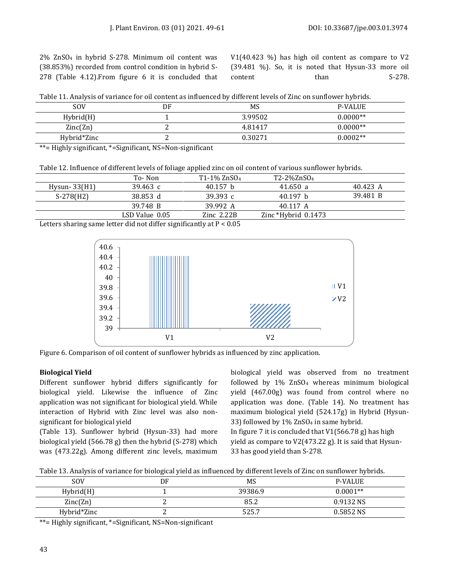2% ZnSO4 in hybrid S-278. Minimum oil content was (38.853%) recorded from control condition in hybrid S-278 (Table 4.12).From figure 6 it is concluded that V1(40.423 %) has high oil content as compare to V2 (39.481 %). So, it is noted that Hysun-33 more oil content than S-278.

|  |  | Table 11. Analysis of variance for oil content as influenced by different levels of Zinc on sunflower hybrids. |
|--|--|----------------------------------------------------------------------------------------------------------------|
|--|--|----------------------------------------------------------------------------------------------------------------|

| <b>SOV</b>  | DF | MS      | <b>P-VALUE</b> |
|-------------|----|---------|----------------|
| Hybrid(H)   |    | 3.99502 | $0.0000**$     |
| Zinc(Zn)    |    | 4.81417 | $0.0000**$     |
| Hybrid*Zinc | ⊷  | 0.30271 | $0.0002**$     |

\*\*= Highly significant, \*=Significant, NS=Non-significant

Table 12. Influence of different levels of foliage applied zinc on oil content of various sunflower hybrids.

|                             | To-Non                                                                                      | $T1-1\%$ ZnSO <sub>4</sub> | T2-2%ZnSO <sub>4</sub> |          |
|-----------------------------|---------------------------------------------------------------------------------------------|----------------------------|------------------------|----------|
| Hysun- $33(H1)$             | 39.463 $c$                                                                                  | 40.157 h                   | 41.650 a               | 40.423 A |
| $S-278(H2)$                 | 38.853 d                                                                                    | 39.393 $c$                 | 40.197 h               | 39.481 B |
|                             | 39.748 B                                                                                    | 39.992 A                   | 40.117 A               |          |
|                             | LSD Value 0.05                                                                              | $Zinc$ 2.22 $B$            | Zinc *Hybrid $0.1473$  |          |
| $\sim$ $\sim$ $\sim$ $\sim$ | $\mathbf{v} = \mathbf{v} \cdot \mathbf{v}$ , $\mathbf{v} \cdot \mathbf{v}$<br>$\sim$ $\sim$ | .                          |                        |          |

Letters sharing same letter did not differ significantly at P < 0.05



Figure 6. Comparison of oil content of sunflower hybrids as influenced by zinc application.

### **Biological Yield**

Different sunflower hybrid differs significantly for biological yield. Likewise the influence of Zinc application was not significant for biological yield. While interaction of Hybrid with Zinc level was also nonsignificant for biological yield

(Table 13). Sunflower hybrid (Hysun-33) had more biological yield (566.78 g) then the hybrid (S-278) which was (473.22g). Among different zinc levels, maximum biological yield was observed from no treatment followed by 1% ZnSO4 whereas minimum biological yield (467.00g) was found from control where no application was done. (Table 14). No treatment has maximum biological yield (524.17g) in Hybrid (Hysun-33) followed by 1% ZnSO4 in same hybrid. In figure 7 it is concluded that  $V1(566.78 g)$  has high yield as compare to V2(473.22 g). It is said that Hysun-33 has good yield than S-278.

Table 13. Analysis of variance for biological yield as influenced by different levels of Zinc on sunflower hybrids.

| DF | MS      | <b>P-VALUE</b> |
|----|---------|----------------|
|    | 39386.9 | $0.0001**$     |
|    | 85.2    | 0.9132 NS      |
|    | 525.7   | 0.5852 NS      |
|    |         |                |

\*\*= Highly significant, \*=Significant, NS=Non-significant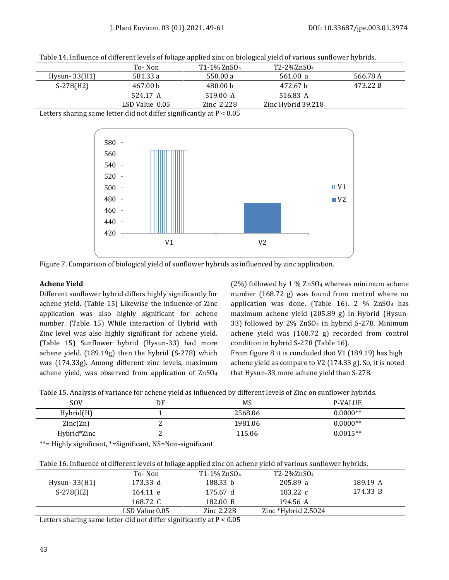| Table 14. Influence of different levels of foliage applied zinc on biological yield of various sunflower hybrids. |  |  |
|-------------------------------------------------------------------------------------------------------------------|--|--|
|                                                                                                                   |  |  |

|                 | To- Non                                                                  | T1-1% ZnSO <sub>4</sub> | T2-2%ZnSO <sub>4</sub> |          |
|-----------------|--------------------------------------------------------------------------|-------------------------|------------------------|----------|
| Hysun- $33(H1)$ | 581.33 a                                                                 | 558.00 a                | 561.00 a               | 566.78 A |
| $S-278(H2)$     | 467.00 b                                                                 | 480.00 b                | 472.67 b               | 473.22 B |
|                 | 524.17 A                                                                 | 519.00 A                | 516.83 A               |          |
|                 | LSD Value 0.05                                                           | Zinc 2.228              | Zinc Hybrid 39.218     |          |
|                 | $\mathbf{v} = \mathbf{v} \cdot \mathbf{v} = \mathbf{v} \cdot \mathbf{v}$ | .                       |                        |          |

Letters sharing same letter did not differ significantly at P < 0.05





#### **Achene Yield**

Different sunflower hybrid differs highly significantly for achene yield. (Table 15) Likewise the influence of Zinc application was also highly significant for achene number. (Table 15) While interaction of Hybrid with Zinc level was also highly significant for achene yield. (Table 15) Sunflower hybrid (Hysun-33) had more achene yield. (189.19g) then the hybrid (S-278) which was (174.33g). Among different zinc levels, maximum achene yield, was observed from application of ZnSO4 (2%) followed by 1 % ZnSO4 whereas minimum achene number (168.72 g) was found from control where no application was done. (Table 16). 2  $%$  ZnSO<sub>4</sub> has maximum achene yield (205.89 g) in Hybrid (Hysun-33) followed by 2% ZnSO4 in hybrid S-278. Minimum achene yield was (168.72 g) recorded from control condition in hybrid S-278 (Table 16). From figure 8 it is concluded that V1 (189.19) has high achene yield as compare to V2 (174.33 g). So, it is noted

that Hysun-33 more achene yield than S-278.

|  |  | Table 15. Analysis of variance for achene yield as influenced by different levels of Zinc on sunflower hybrids. |
|--|--|-----------------------------------------------------------------------------------------------------------------|
|  |  |                                                                                                                 |

| <b>SOV</b>  | DF | MS      | <b>P-VALUE</b> |
|-------------|----|---------|----------------|
| Hybrid(H)   |    | 2568.06 | $0.0000**$     |
| Zinc(Zn)    |    | 1981.06 | $0.0000**$     |
| Hybrid*Zinc |    | 115.06  | $0.0015**$     |
|             |    |         |                |

\*\*= Highly significant, \*=Significant, NS=Non-significant

| Table 16. Influence of different levels of foliage applied zinc on achene yield of various sunflower hybrids. |
|---------------------------------------------------------------------------------------------------------------|
|---------------------------------------------------------------------------------------------------------------|

|                                                                       | To-Non         | T1-1% ZnSO <sub>4</sub> | T2-2%ZnSO <sub>4</sub>    |          |
|-----------------------------------------------------------------------|----------------|-------------------------|---------------------------|----------|
| $Hvsun-33(H1)$                                                        | 173.33 d       | 188.33 b                | 205.89 a                  | 189.19 A |
| $S-278(H2)$                                                           | 164.11 e       | 175.67 d                | 183.22 c                  | 174.33 B |
|                                                                       | 168.72 C       | 182.00 B                | 194.56 A                  |          |
|                                                                       | LSD Value 0.05 | $\rm Zinc~2.22B$        | $\rm Zinc$ *Hybrid 2.5024 |          |
| attava ahaying sama lattar did nat diffay significantly at $D \neq 0$ |                |                         |                           |          |

Letters sharing same letter did not differ significantly at P < 0.05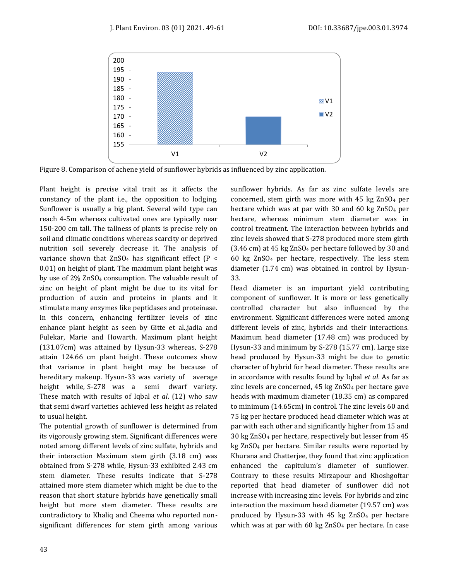

Figure 8. Comparison of achene yield of sunflower hybrids as influenced by zinc application.

Plant height is precise vital trait as it affects the constancy of the plant i.e., the opposition to lodging. Sunflower is usually a big plant. Several wild type can reach 4-5m whereas cultivated ones are typically near 150-200 cm tall. The tallness of plants is precise rely on soil and climatic conditions whereas scarcity or deprived nutrition soil severely decrease it. The analysis of variance shown that  $ZnSO<sub>4</sub>$  has significant effect (P < 0.01) on height of plant. The maximum plant height was by use of 2% ZnSO4 consumption. The valuable result of zinc on height of plant might be due to its vital for production of auxin and proteins in plants and it stimulate many enzymes like peptidases and proteinase. In this concern, enhancing fertilizer levels of zinc enhance plant height as seen by Gitte et al.,jadia and Fulekar, Marie and Howarth. Maximum plant height (131.07cm) was attained by Hysun-33 whereas, S-278 attain 124.66 cm plant height. These outcomes show that variance in plant height may be because of hereditary makeup. Hysun-33 was variety of average height while, S-278 was a semi dwarf variety. These match with results of Iqbal *et al*. (12) who saw that semi dwarf varieties achieved less height as related to usual height.

The potential growth of sunflower is determined from its vigorously growing stem. Significant differences were noted among different levels of zinc sulfate, hybrids and their interaction Maximum stem girth (3.18 cm) was obtained from S-278 while, Hysun-33 exhibited 2.43 cm stem diameter. These results indicate that S-278 attained more stem diameter which might be due to the reason that short stature hybrids have genetically small height but more stem diameter. These results are contradictory to Khaliq and Cheema who reported nonsignificant differences for stem girth among various sunflower hybrids. As far as zinc sulfate levels are concerned, stem girth was more with 45 kg ZnSO4 per hectare which was at par with 30 and 60 kg ZnSO4 per hectare, whereas minimum stem diameter was in control treatment. The interaction between hybrids and zinc levels showed that S-278 produced more stem girth (3.46 cm) at 45 kg ZnSO4 per hectare followed by 30 and 60 kg ZnSO4 per hectare, respectively. The less stem diameter (1.74 cm) was obtained in control by Hysun-33.

Head diameter is an important yield contributing component of sunflower. It is more or less genetically controlled character but also influenced by the environment. Significant differences were noted among different levels of zinc, hybrids and their interactions. Maximum head diameter (17.48 cm) was produced by Hysun-33 and minimum by S-278 (15.77 cm). Large size head produced by Hysun-33 might be due to genetic character of hybrid for head diameter. These results are in accordance with results found by Iqbal *et al*. As far as zinc levels are concerned, 45 kg ZnSO4 per hectare gave heads with maximum diameter (18.35 cm) as compared to minimum (14.65cm) in control. The zinc levels 60 and 75 kg per hectare produced head diameter which was at par with each other and significantly higher from 15 and 30 kg ZnSO4 per hectare, respectively but lesser from 45 kg ZnSO4 per hectare. Similar results were reported by Khurana and Chatterjee, they found that zinc application enhanced the capitulum's diameter of sunflower. Contrary to these results Mirzapour and Khoshgoftar reported that head diameter of sunflower did not increase with increasing zinc levels. For hybrids and zinc interaction the maximum head diameter (19.57 cm) was produced by Hysun-33 with 45 kg ZnSO4 per hectare which was at par with 60 kg ZnSO4 per hectare. In case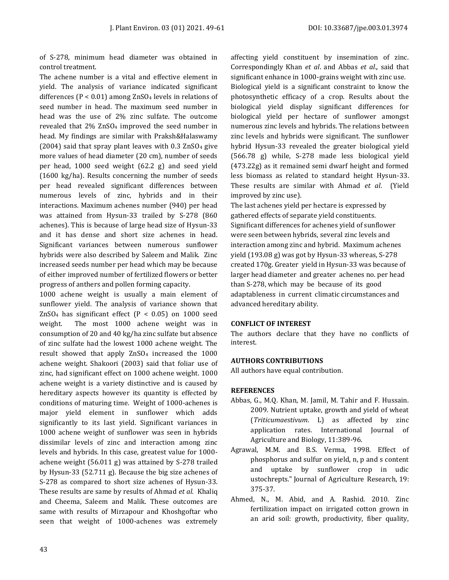of S-278, minimum head diameter was obtained in control treatment.

The achene number is a vital and effective element in yield. The analysis of variance indicated significant differences (P < 0.01) among ZnSO4 levels in relations of seed number in head. The maximum seed number in head was the use of 2% zinc sulfate. The outcome revealed that 2% ZnSO4 improved the seed number in head. My findings are similar with Praksh&Halaswamy (2004) said that spray plant leaves with  $0.3$  ZnSO<sub>4</sub> give more values of head diameter (20 cm), number of seeds per head, 1000 seed weight (62.2 g) and seed yield (1600 kg/ha). Results concerning the number of seeds per head revealed significant differences between numerous levels of zinc, hybrids and in their interactions. Maximum achenes number (940) per head was attained from Hysun-33 trailed by S-278 (860 achenes). This is because of large head size of Hysun-33 and it has dense and short size achenes in head. Significant variances between numerous sunflower hybrids were also described by Saleem and Malik. Zinc increased seeds number per head which may be because of either improved number of fertilized flowers or better progress of anthers and pollen forming capacity.

1000 achene weight is usually a main element of sunflower yield. The analysis of variance shown that ZnSO<sub>4</sub> has significant effect ( $P < 0.05$ ) on 1000 seed weight. The most 1000 achene weight was in consumption of 20 and 40 kg/ha zinc sulfate but absence of zinc sulfate had the lowest 1000 achene weight. The result showed that apply ZnSO4 increased the 1000 achene weight. Shakoori (2003) said that foliar use of zinc, had significant effect on 1000 achene weight. 1000 achene weight is a variety distinctive and is caused by hereditary aspects however its quantity is effected by conditions of maturing time. Weight of 1000-achenes is major yield element in sunflower which adds significantly to its last yield. Significant variances in 1000 achene weight of sunflower was seen in hybrids dissimilar levels of zinc and interaction among zinc levels and hybrids. In this case, greatest value for 1000 achene weight (56.011 g) was attained by S-278 trailed by Hysun-33 (52.711 g). Because the big size achenes of S-278 as compared to short size achenes of Hysun-33. These results are same by results of Ahmad *et al*. Khaliq and Cheema, Saleem and Malik. These outcomes are same with results of Mirzapour and Khoshgoftar who seen that weight of 1000-achenes was extremely

affecting yield constituent by insemination of zinc. Correspondingly Khan *et al*. and Abbas *et al*., said that significant enhance in 1000-grains weight with zinc use. Biological yield is a significant constraint to know the photosynthetic efficacy of a crop. Results about the biological yield display significant differences for biological yield per hectare of sunflower amongst numerous zinc levels and hybrids. The relations between zinc levels and hybrids were significant. The sunflower hybrid Hysun-33 revealed the greater biological yield (566.78 g) while, S-278 made less biological yield (473.22g) as it remained semi dwarf height and formed less biomass as related to standard height Hysun-33. These results are similar with Ahmad *et al*. (Yield improved by zinc use).

The last achenes yield per hectare is expressed by gathered effects of separate yield constituents. Significant differences for achenes yield of sunflower were seen between hybrids, several zinc levels and interaction among zinc and hybrid. Maximum achenes yield (193.08 g) was got by Hysun-33 whereas, S-278 created 170g. Greater yield in Hysun-33 was because of larger head diameter and greater achenes no. per head than S-278, which may be because of its good adaptableness in current climatic circumstances and advanced hereditary ability.

#### **CONFLICT OF INTEREST**

The authors declare that they have no conflicts of interest.

#### **AUTHORS CONTRIBUTIONS**

All authors have equal contribution.

#### **REFERENCES**

- Abbas, G., M.Q. Khan, M. Jamil, M. Tahir and F. Hussain. 2009. Nutrient uptake, growth and yield of wheat (*Triticumaestivum*. L) as affected by zinc application rates. International Journal of Agriculture and Biology, 11:389-96.
- Agrawal, M.M. and B.S. Verma, 1998. Effect of phosphorus and sulfur on yield, n, p and s content and uptake by sunflower crop in udic ustochrepts." Journal of Agriculture Research, 19: 375-37.
- Ahmed, N., M. Abid, and A. Rashid. 2010. Zinc fertilization impact on irrigated cotton grown in an arid soil: growth, productivity, fiber quality,